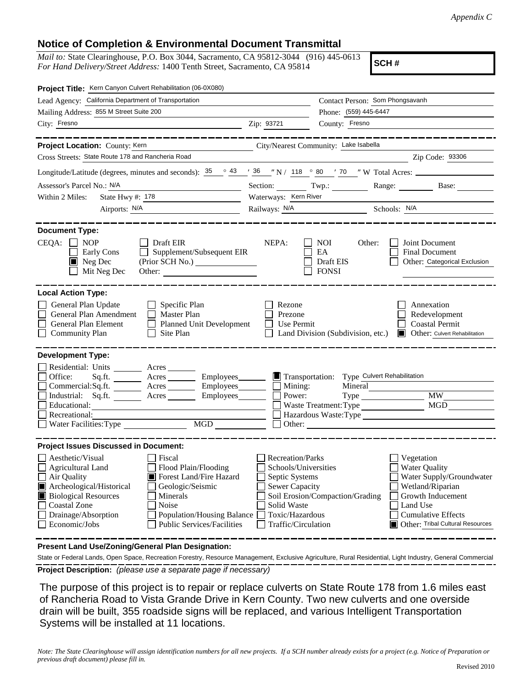## **Notice of Completion & Environmental Document Transmittal**

*Mail to:* State Clearinghouse, P.O. Box 3044, Sacramento, CA 95812-3044 (916) 445-0613 *For Hand Delivery/Street Address:* 1400 Tenth Street, Sacramento, CA 95814

**SCH #**

| Project Title: Kern Canyon Culvert Rehabilitation (06-0X080)                                                                                                                                                                                                                                                                                            |                                                                                                                                                     |                                                                                                   |                                                                                                                                                                                      |
|---------------------------------------------------------------------------------------------------------------------------------------------------------------------------------------------------------------------------------------------------------------------------------------------------------------------------------------------------------|-----------------------------------------------------------------------------------------------------------------------------------------------------|---------------------------------------------------------------------------------------------------|--------------------------------------------------------------------------------------------------------------------------------------------------------------------------------------|
| Lead Agency: California Department of Transportation                                                                                                                                                                                                                                                                                                    |                                                                                                                                                     | Contact Person: Som Phongsavanh                                                                   |                                                                                                                                                                                      |
| Mailing Address: 855 M Street Suite 200                                                                                                                                                                                                                                                                                                                 | Phone: (559) 445-6447                                                                                                                               |                                                                                                   |                                                                                                                                                                                      |
| City: Fresno                                                                                                                                                                                                                                                                                                                                            | Zip: 93721                                                                                                                                          | County: Fresno                                                                                    |                                                                                                                                                                                      |
| Project Location: County: Kern<br>City/Nearest Community: Lake Isabella<br>Cross Streets: State Route 178 and Rancheria Road                                                                                                                                                                                                                            |                                                                                                                                                     |                                                                                                   | Zip Code: 93306                                                                                                                                                                      |
| Longitude/Latitude (degrees, minutes and seconds): $\frac{35}{25}$ $\frac{\circ}{25}$ $\frac{43}{25}$ $\frac{7}{25}$ $\frac{36}{25}$ $\frac{1}{27}$ N / 118 $\frac{\circ}{25}$ 80 $\frac{7}{27}$ W Total Acres:                                                                                                                                         |                                                                                                                                                     |                                                                                                   |                                                                                                                                                                                      |
| Assessor's Parcel No.: N/A                                                                                                                                                                                                                                                                                                                              | Section: Twp.:                                                                                                                                      |                                                                                                   | Range: Base:                                                                                                                                                                         |
| State Hwy #: 178<br>Within 2 Miles:                                                                                                                                                                                                                                                                                                                     | Waterways: Kern River                                                                                                                               |                                                                                                   |                                                                                                                                                                                      |
| Airports: <u>N/A</u>                                                                                                                                                                                                                                                                                                                                    | Railways: N/A Schools: N/A                                                                                                                          |                                                                                                   |                                                                                                                                                                                      |
|                                                                                                                                                                                                                                                                                                                                                         |                                                                                                                                                     |                                                                                                   |                                                                                                                                                                                      |
| <b>Document Type:</b><br>$CEQA: \Box NP$<br>$\Box$ Draft EIR<br>$\Box$ Supplement/Subsequent EIR<br>Early Cons<br>$\blacksquare$ Neg Dec<br>Mit Neg Dec<br>Other:                                                                                                                                                                                       | NEPA:                                                                                                                                               | <b>NOI</b><br>Other:<br>EA<br>Draft EIS<br><b>FONSI</b>                                           | Joint Document<br>Final Document<br>Other: Categorical Exclusion                                                                                                                     |
| <b>Local Action Type:</b><br>General Plan Update<br>$\Box$ Specific Plan<br>General Plan Amendment<br>$\Box$ Master Plan<br>General Plan Element<br><b>Planned Unit Development</b><br><b>Community Plan</b><br>Site Plan<br>$\perp$                                                                                                                    | Rezone<br>Prezone<br>Use Permit                                                                                                                     | Land Division (Subdivision, etc.)                                                                 | Annexation<br>Redevelopment<br><b>Coastal Permit</b><br>Other: Culvert Rehabilitation                                                                                                |
| <b>Development Type:</b><br>Residential: Units ________ Acres _______<br>Office:<br>Acres<br>Employees________<br>Sq.ft. $\qquad$<br>Commercial:Sq.ft. Acres Employees<br>Industrial: Sq.ft. _______ Acres _______ Employees_______<br>Educational:<br>Recreational:<br>MGD<br>Water Facilities: Type                                                   | Transportation:<br>Mining:<br>Power:                                                                                                                | Type_Culvert Rehabilitation<br>Mineral<br>Waste Treatment: Type<br>Hazardous Waste:Type<br>Other: | MW<br>MGD                                                                                                                                                                            |
| <b>Project Issues Discussed in Document:</b>                                                                                                                                                                                                                                                                                                            |                                                                                                                                                     |                                                                                                   |                                                                                                                                                                                      |
| Aesthetic/Visual<br>Fiscal<br>Flood Plain/Flooding<br>Agricultural Land<br>Forest Land/Fire Hazard<br>Air Quality<br>Archeological/Historical<br>Geologic/Seismic<br><b>Biological Resources</b><br>Minerals<br><b>Coastal Zone</b><br>Noise<br>Drainage/Absorption<br>Population/Housing Balance<br><b>Public Services/Facilities</b><br>Economic/Jobs | <b>Recreation/Parks</b><br>Schools/Universities<br>Septic Systems<br><b>Sewer Capacity</b><br>Solid Waste<br>Toxic/Hazardous<br>Traffic/Circulation | Soil Erosion/Compaction/Grading                                                                   | Vegetation<br><b>Water Quality</b><br>Water Supply/Groundwater<br>Wetland/Riparian<br>Growth Inducement<br>Land Use<br><b>Cumulative Effects</b><br>Other: Tribal Cultural Resources |

**Present Land Use/Zoning/General Plan Designation:**

**Project Description:** *(please use a separate page if necessary)* State or Federal Lands, Open Space, Recreation Forestry, Resource Management, Exclusive Agriculture, Rural Residential, Light Industry, General Commercial

 The purpose of this project is to repair or replace culverts on State Route 178 from 1.6 miles east of Rancheria Road to Vista Grande Drive in Kern County. Two new culverts and one overside drain will be built, 355 roadside signs will be replaced, and various Intelligent Transportation Systems will be installed at 11 locations.

*Note: The State Clearinghouse will assign identification numbers for all new projects. If a SCH number already exists for a project (e.g. Notice of Preparation or previous draft document) please fill in.*